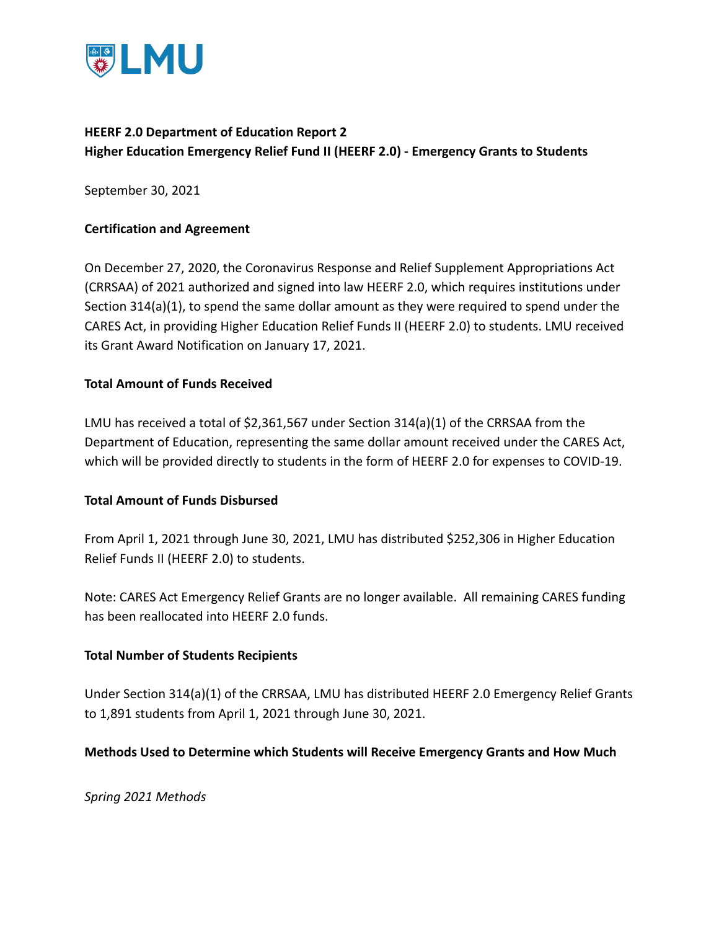

## **HEERF 2.0 Department of Education Report 2 Higher Education Emergency Relief Fund II (HEERF 2.0) - Emergency Grants to Students**

September 30, 2021

### **Certification and Agreement**

On December 27, 2020, the Coronavirus Response and Relief Supplement Appropriations Act (CRRSAA) of 2021 authorized and signed into law HEERF 2.0, which requires institutions under Section 314(a)(1), to spend the same dollar amount as they were required to spend under the CARES Act, in providing Higher Education Relief Funds II (HEERF 2.0) to students. LMU received its Grant Award Notification on January 17, 2021.

### **Total Amount of Funds Received**

LMU has received a total of \$2,361,567 under Section 314(a)(1) of the CRRSAA from the Department of Education, representing the same dollar amount received under the CARES Act, which will be provided directly to students in the form of HEERF 2.0 for expenses to COVID-19.

#### **Total Amount of Funds Disbursed**

From April 1, 2021 through June 30, 2021, LMU has distributed \$252,306 in Higher Education Relief Funds II (HEERF 2.0) to students.

Note: CARES Act Emergency Relief Grants are no longer available. All remaining CARES funding has been reallocated into HEERF 2.0 funds.

#### **Total Number of Students Recipients**

Under Section 314(a)(1) of the CRRSAA, LMU has distributed HEERF 2.0 Emergency Relief Grants to 1,891 students from April 1, 2021 through June 30, 2021.

#### **Methods Used to Determine which Students will Receive Emergency Grants and How Much**

*Spring 2021 Methods*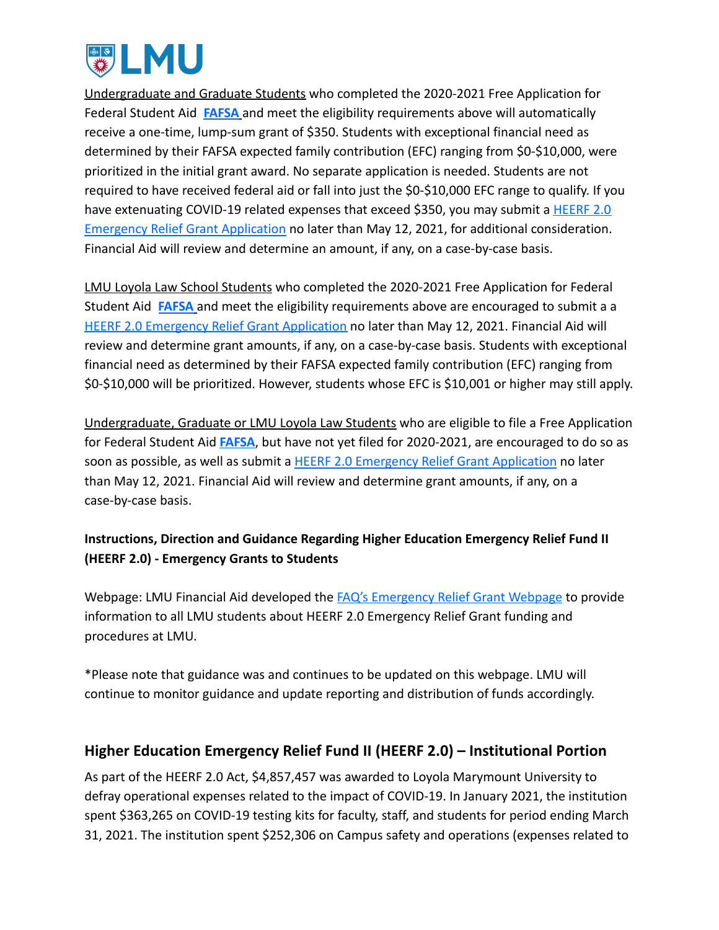

Undergraduate and Graduate Students who completed the 2020-2021 Free Application for Federal Student Aid **[FAFSA](https://studentaid.gov/h/apply-for-aid/fafsa)** and meet the eligibility requirements above will automatically receive a one-time, lump-sum grant of \$350. Students with exceptional financial need as determined by their FAFSA expected family contribution (EFC) ranging from \$0-\$10,000, were prioritized in the initial grant award. No separate application is needed. Students are not required to have received federal aid or fall into just the \$0-\$10,000 EFC range to qualify. If you have extenuating COVID-19 related expenses that exceed \$350, you may submit a [HEERF 2.0](https://financialaid.lmu.edu/media/lmufinaid/graduatefinancialaid/2020-2021graduateforms/HEERF%202.0%20Emergency%20Relief%20Application_Spring%202021.pdf) [Emergency Relief Grant Application](https://financialaid.lmu.edu/media/lmufinaid/graduatefinancialaid/2020-2021graduateforms/HEERF%202.0%20Emergency%20Relief%20Application_Spring%202021.pdf) no later than May 12, 2021, for additional consideration. Financial Aid will review and determine an amount, if any, on a case-by-case basis.

LMU Loyola Law School Students who completed the 2020-2021 Free Application for Federal Student Aid **[FAFSA](https://studentaid.gov/h/apply-for-aid/fafsa)** and meet the eligibility requirements above are encouraged to submit a a [HEERF 2.0 Emergency Relief Grant Application](https://financialaid.lmu.edu/media/lmufinaid/graduatefinancialaid/2020-2021graduateforms/HEERF%202.0%20Emergency%20Relief%20Application_Spring%202021.pdf) no later than May 12, 2021. Financial Aid will review and determine grant amounts, if any, on a case-by-case basis. Students with exceptional financial need as determined by their FAFSA expected family contribution (EFC) ranging from \$0-\$10,000 will be prioritized. However, students whose EFC is \$10,001 or higher may still apply.

Undergraduate, Graduate or LMU Loyola Law Students who are eligible to file a Free Application for Federal Student Aid **[FAFSA](https://studentaid.gov/h/apply-for-aid/fafsa)**, but have not yet filed for 2020-2021, are encouraged to do so as soon as possible, as well as submit a HEERF 2.0 Emergency [Relief Grant Application](https://financialaid.lmu.edu/media/lmufinaid/graduatefinancialaid/2020-2021graduateforms/HEERF%202.0%20Emergency%20Relief%20Application_Spring%202021.pdf) no later than May 12, 2021. Financial Aid will review and determine grant amounts, if any, on a case-by-case basis.

## **Instructions, Direction and Guidance Regarding Higher Education Emergency Relief Fund II (HEERF 2.0) - Emergency Grants to Students**

Webpage: LMU Financial Aid developed the FAQ's Emergency [Relief Grant Webpage](https://financialaid.lmu.edu/current/emergencyreliefgrant/) to provide information to all LMU students about HEERF 2.0 Emergency Relief Grant funding and procedures at LMU.

\*Please note that guidance was and continues to be updated on this webpage. LMU will continue to monitor guidance and update reporting and distribution of funds accordingly.

# **Higher Education Emergency Relief Fund II (HEERF 2.0) – Institutional Portion**

As part of the HEERF 2.0 Act, \$4,857,457 was awarded to Loyola Marymount University to defray operational expenses related to the impact of COVID-19. In January 2021, the institution spent \$363,265 on COVID-19 testing kits for faculty, staff, and students for period ending March 31, 2021. The institution spent \$252,306 on Campus safety and operations (expenses related to